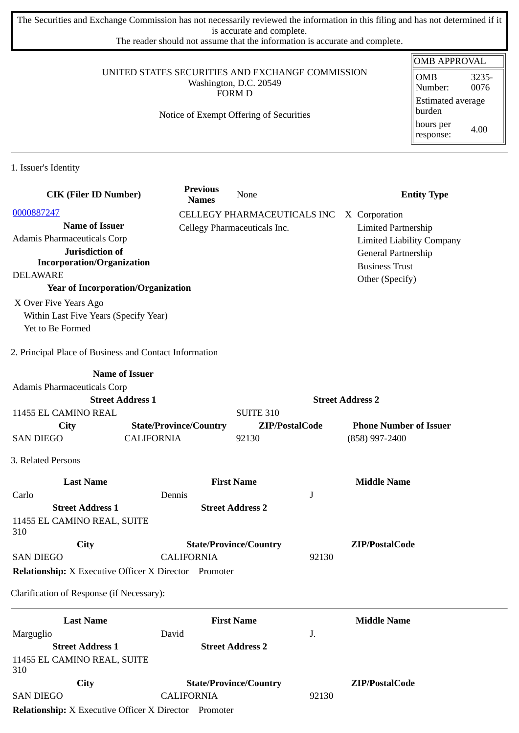The Securities and Exchange Commission has not necessarily reviewed the information in this filing and has not determined if it is accurate and complete.

The reader should not assume that the information is accurate and complete.

### UNITED STATES SECURITIES AND EXCHANGE COMMISSION Washington, D.C. 20549 FORM D

### Notice of Exempt Offering of Securities

| OMB APPROVAL                  |               |  |  |
|-------------------------------|---------------|--|--|
| <b>OMB</b><br>Number:         | 3235-<br>0076 |  |  |
| Estimated average<br>  burden |               |  |  |
| hours per<br>response:        | 4.00          |  |  |

1. Issuer's Identity

| <b>CIK (Filer ID Number)</b>                                 |                   | <b>Previous</b><br><b>Names</b> | None                          |                         | <b>Entity Type</b>               |
|--------------------------------------------------------------|-------------------|---------------------------------|-------------------------------|-------------------------|----------------------------------|
| 0000887247                                                   |                   |                                 | CELLEGY PHARMACEUTICALS INC   |                         | X Corporation                    |
| <b>Name of Issuer</b>                                        |                   |                                 | Cellegy Pharmaceuticals Inc.  |                         | <b>Limited Partnership</b>       |
| Adamis Pharmaceuticals Corp                                  |                   |                                 |                               |                         | <b>Limited Liability Company</b> |
| Jurisdiction of                                              |                   |                                 |                               |                         | General Partnership              |
| <b>Incorporation/Organization</b>                            |                   |                                 |                               |                         | <b>Business Trust</b>            |
| <b>DELAWARE</b>                                              |                   |                                 |                               |                         | Other (Specify)                  |
| <b>Year of Incorporation/Organization</b>                    |                   |                                 |                               |                         |                                  |
| X Over Five Years Ago                                        |                   |                                 |                               |                         |                                  |
| Within Last Five Years (Specify Year)                        |                   |                                 |                               |                         |                                  |
| Yet to Be Formed                                             |                   |                                 |                               |                         |                                  |
| 2. Principal Place of Business and Contact Information       |                   |                                 |                               |                         |                                  |
| <b>Name of Issuer</b>                                        |                   |                                 |                               |                         |                                  |
| Adamis Pharmaceuticals Corp                                  |                   |                                 |                               |                         |                                  |
| <b>Street Address 1</b>                                      |                   |                                 |                               | <b>Street Address 2</b> |                                  |
| 11455 EL CAMINO REAL                                         |                   |                                 | <b>SUITE 310</b>              |                         |                                  |
| <b>City</b>                                                  |                   | <b>State/Province/Country</b>   | ZIP/PostalCode                |                         | <b>Phone Number of Issuer</b>    |
| <b>SAN DIEGO</b>                                             | <b>CALIFORNIA</b> |                                 | 92130                         |                         | (858) 997-2400                   |
| 3. Related Persons                                           |                   |                                 |                               |                         |                                  |
| <b>Last Name</b>                                             |                   |                                 | <b>First Name</b>             |                         | <b>Middle Name</b>               |
| Carlo                                                        | Dennis            |                                 |                               | J                       |                                  |
| <b>Street Address 1</b>                                      |                   |                                 | <b>Street Address 2</b>       |                         |                                  |
| 11455 EL CAMINO REAL, SUITE<br>310                           |                   |                                 |                               |                         |                                  |
| City                                                         |                   |                                 | <b>State/Province/Country</b> |                         | ZIP/PostalCode                   |
| <b>SAN DIEGO</b>                                             |                   | <b>CALIFORNIA</b>               |                               | 92130                   |                                  |
| <b>Relationship:</b> X Executive Officer X Director Promoter |                   |                                 |                               |                         |                                  |
| Clarification of Response (if Necessary):                    |                   |                                 |                               |                         |                                  |
| <b>Last Name</b>                                             |                   |                                 | <b>First Name</b>             |                         | <b>Middle Name</b>               |
| Marguglio                                                    | David             |                                 |                               | J.                      |                                  |
| <b>Street Address 1</b>                                      |                   |                                 | <b>Street Address 2</b>       |                         |                                  |
| 11455 EL CAMINO REAL, SUITE<br>310                           |                   |                                 |                               |                         |                                  |
| City                                                         |                   |                                 | <b>State/Province/Country</b> |                         | ZIP/PostalCode                   |
| <b>SAN DIEGO</b>                                             |                   | <b>CALIFORNIA</b>               |                               | 92130                   |                                  |
| <b>Relationship:</b> X Executive Officer X Director Promoter |                   |                                 |                               |                         |                                  |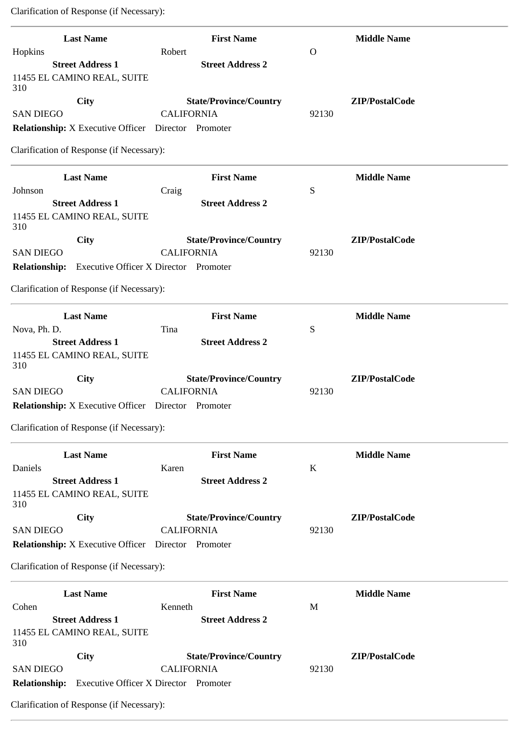Clarification of Response (if Necessary):

| <b>Last Name</b>                                           | <b>First Name</b>                            |          | <b>Middle Name</b> |
|------------------------------------------------------------|----------------------------------------------|----------|--------------------|
| Hopkins                                                    | Robert                                       | $\Omega$ |                    |
| <b>Street Address 1</b>                                    | <b>Street Address 2</b>                      |          |                    |
| 11455 EL CAMINO REAL, SUITE                                |                                              |          |                    |
| 310                                                        |                                              |          |                    |
| <b>City</b>                                                | <b>State/Province/Country</b>                |          | ZIP/PostalCode     |
| <b>SAN DIEGO</b>                                           | <b>CALIFORNIA</b>                            | 92130    |                    |
| Relationship: X Executive Officer  Director  Promoter      |                                              |          |                    |
| Clarification of Response (if Necessary):                  |                                              |          |                    |
| <b>Last Name</b>                                           | <b>First Name</b>                            |          | <b>Middle Name</b> |
| Johnson                                                    | Craig                                        | S        |                    |
| <b>Street Address 1</b>                                    | <b>Street Address 2</b>                      |          |                    |
| 11455 EL CAMINO REAL, SUITE<br>310                         |                                              |          |                    |
| City                                                       | <b>State/Province/Country</b>                |          | ZIP/PostalCode     |
| <b>SAN DIEGO</b>                                           | <b>CALIFORNIA</b>                            | 92130    |                    |
| <b>Relationship:</b> Executive Officer X Director Promoter |                                              |          |                    |
|                                                            |                                              |          |                    |
| Clarification of Response (if Necessary):                  |                                              |          |                    |
| <b>Last Name</b>                                           | <b>First Name</b>                            |          | <b>Middle Name</b> |
| Nova, Ph. D.                                               | Tina                                         | S        |                    |
| <b>Street Address 1</b>                                    | <b>Street Address 2</b>                      |          |                    |
| 11455 EL CAMINO REAL, SUITE<br>310                         |                                              |          |                    |
| City                                                       | <b>State/Province/Country</b>                |          | ZIP/PostalCode     |
| <b>SAN DIEGO</b>                                           | <b>CALIFORNIA</b>                            | 92130    |                    |
| <b>Relationship:</b> X Executive Officer Director Promoter |                                              |          |                    |
|                                                            |                                              |          |                    |
| Clarification of Response (if Necessary):                  |                                              |          |                    |
| <b>Last Name</b>                                           | <b>First Name</b>                            |          | <b>Middle Name</b> |
| Daniels                                                    | Karen                                        | K        |                    |
| <b>Street Address 1</b>                                    | <b>Street Address 2</b>                      |          |                    |
| 11455 EL CAMINO REAL, SUITE                                |                                              |          |                    |
| 310                                                        |                                              |          |                    |
| City                                                       | <b>State/Province/Country</b>                |          | ZIP/PostalCode     |
| <b>SAN DIEGO</b>                                           | <b>CALIFORNIA</b>                            | 92130    |                    |
| <b>Relationship:</b> X Executive Officer Director Promoter |                                              |          |                    |
| Clarification of Response (if Necessary):                  |                                              |          |                    |
| <b>Last Name</b>                                           | <b>First Name</b>                            |          | <b>Middle Name</b> |
| Cohen                                                      | Kenneth                                      | M        |                    |
| <b>Street Address 1</b>                                    | <b>Street Address 2</b>                      |          |                    |
| 11455 EL CAMINO REAL, SUITE<br>310                         |                                              |          |                    |
| City                                                       | <b>State/Province/Country</b>                |          | ZIP/PostalCode     |
| <b>SAN DIEGO</b>                                           | <b>CALIFORNIA</b>                            | 92130    |                    |
| <b>Relationship:</b>                                       | <b>Executive Officer X Director Promoter</b> |          |                    |
| Clarification of Response (if Necessary):                  |                                              |          |                    |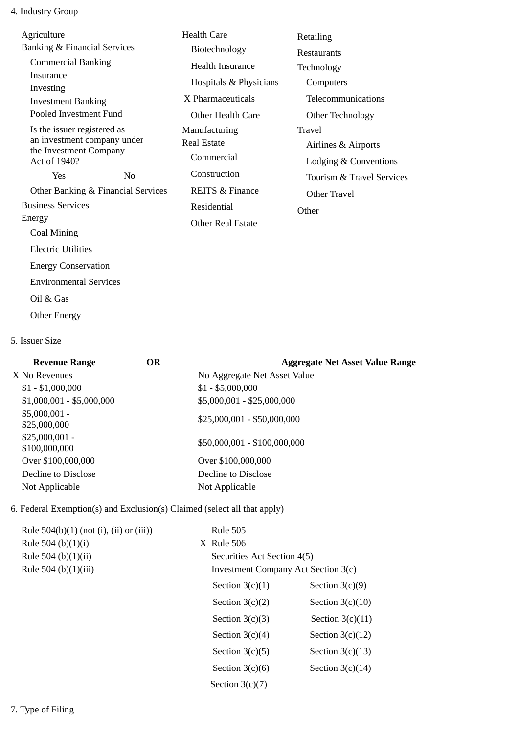# 4. Industry Group

| Agriculture<br><b>Banking &amp; Financial Services</b><br><b>Commercial Banking</b><br>Insurance<br>Investing<br><b>Investment Banking</b><br>Pooled Investment Fund<br>Is the issuer registered as<br>an investment company under<br>the Investment Company |                                    | <b>Health Care</b><br>Biotechnology<br>Health Insurance<br>Hospitals & Physicians<br>X Pharmaceuticals<br>Other Health Care<br>Manufacturing<br><b>Real Estate</b><br>Commercial | Retailing<br><b>Restaurants</b><br>Technology<br>Computers<br>Telecommunications<br>Other Technology<br>Travel<br>Airlines & Airports |
|--------------------------------------------------------------------------------------------------------------------------------------------------------------------------------------------------------------------------------------------------------------|------------------------------------|----------------------------------------------------------------------------------------------------------------------------------------------------------------------------------|---------------------------------------------------------------------------------------------------------------------------------------|
| Act of 1940?<br><b>Yes</b>                                                                                                                                                                                                                                   | N <sub>0</sub>                     | Construction                                                                                                                                                                     | Lodging & Conventions<br>Tourism & Travel Services                                                                                    |
|                                                                                                                                                                                                                                                              | Other Banking & Financial Services | <b>REITS &amp; Finance</b>                                                                                                                                                       | Other Travel                                                                                                                          |
| <b>Business Services</b><br>Energy<br>Coal Mining                                                                                                                                                                                                            |                                    | Residential<br><b>Other Real Estate</b>                                                                                                                                          | Other                                                                                                                                 |
| <b>Electric Utilities</b><br><b>Energy Conservation</b>                                                                                                                                                                                                      |                                    |                                                                                                                                                                                  |                                                                                                                                       |

Environmental Services

Oil & Gas

Other Energy

## 5. Issuer Size

| <b>Revenue Range</b>             | <b>OR</b> | <b>Aggregate Net Asset Value Range</b> |
|----------------------------------|-----------|----------------------------------------|
| X No Revenues                    |           | No Aggregate Net Asset Value           |
| $$1 - $1,000,000$                |           | $$1 - $5,000,000$                      |
| $$1,000,001 - $5,000,000$        |           | \$5,000,001 - \$25,000,000             |
| $$5,000,001 -$<br>\$25,000,000   |           | $$25,000,001 - $50,000,000$            |
| $$25,000,001 -$<br>\$100,000,000 |           | \$50,000,001 - \$100,000,000           |
| Over \$100,000,000               |           | Over \$100,000,000                     |
| Decline to Disclose              |           | Decline to Disclose                    |
| Not Applicable                   |           | Not Applicable                         |
|                                  |           |                                        |

6. Federal Exemption(s) and Exclusion(s) Claimed (select all that apply)

| Rule $504(b)(1)$ (not (i), (ii) or (iii)) | <b>Rule 505</b>                     |                    |
|-------------------------------------------|-------------------------------------|--------------------|
| Rule 504 (b) $(1)(i)$                     | $X$ Rule 506                        |                    |
| Rule 504 (b)(1)(ii)                       | Securities Act Section 4(5)         |                    |
| Rule 504 (b)(1)(iii)                      | Investment Company Act Section 3(c) |                    |
|                                           | Section $3(c)(1)$                   | Section $3(c)(9)$  |
|                                           | Section $3(c)(2)$                   | Section $3(c)(10)$ |
|                                           | Section $3(c)(3)$                   | Section $3(c)(11)$ |
|                                           | Section $3(c)(4)$                   | Section $3(c)(12)$ |
|                                           | Section $3(c)(5)$                   | Section $3(c)(13)$ |
|                                           | Section $3(c)(6)$                   | Section $3(c)(14)$ |
|                                           | Section $3(c)(7)$                   |                    |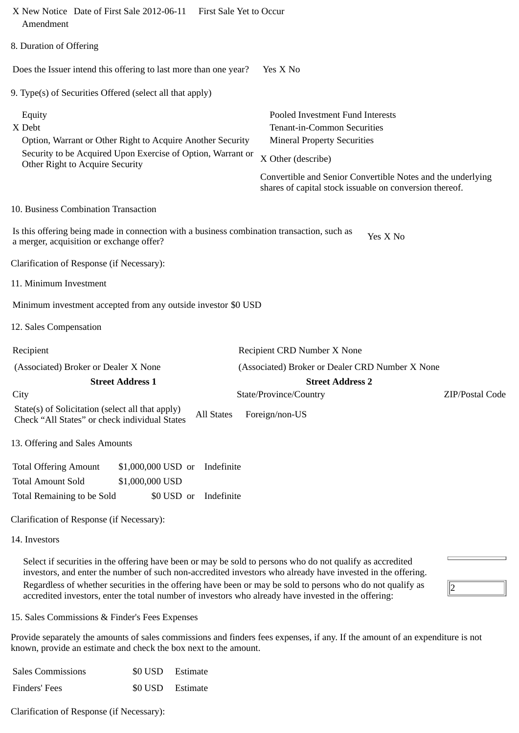| X New Notice Date of First Sale 2012-06-11 First Sale Yet to Occur<br>Amendment                                                                                                                                                                                                                                                        |                                                                                                                                                                                                                                                       |
|----------------------------------------------------------------------------------------------------------------------------------------------------------------------------------------------------------------------------------------------------------------------------------------------------------------------------------------|-------------------------------------------------------------------------------------------------------------------------------------------------------------------------------------------------------------------------------------------------------|
| 8. Duration of Offering                                                                                                                                                                                                                                                                                                                |                                                                                                                                                                                                                                                       |
| Does the Issuer intend this offering to last more than one year?                                                                                                                                                                                                                                                                       | Yes X No                                                                                                                                                                                                                                              |
| 9. Type(s) of Securities Offered (select all that apply)                                                                                                                                                                                                                                                                               |                                                                                                                                                                                                                                                       |
| Equity<br>X Debt<br>Option, Warrant or Other Right to Acquire Another Security<br>Security to be Acquired Upon Exercise of Option, Warrant or<br>Other Right to Acquire Security                                                                                                                                                       | Pooled Investment Fund Interests<br>Tenant-in-Common Securities<br><b>Mineral Property Securities</b><br>X Other (describe)<br>Convertible and Senior Convertible Notes and the underlying<br>shares of capital stock issuable on conversion thereof. |
| 10. Business Combination Transaction                                                                                                                                                                                                                                                                                                   |                                                                                                                                                                                                                                                       |
| Is this offering being made in connection with a business combination transaction, such as<br>a merger, acquisition or exchange offer?                                                                                                                                                                                                 | Yes X No                                                                                                                                                                                                                                              |
| Clarification of Response (if Necessary):                                                                                                                                                                                                                                                                                              |                                                                                                                                                                                                                                                       |
| 11. Minimum Investment                                                                                                                                                                                                                                                                                                                 |                                                                                                                                                                                                                                                       |
| Minimum investment accepted from any outside investor \$0 USD                                                                                                                                                                                                                                                                          |                                                                                                                                                                                                                                                       |
| 12. Sales Compensation                                                                                                                                                                                                                                                                                                                 |                                                                                                                                                                                                                                                       |
| Recipient                                                                                                                                                                                                                                                                                                                              | Recipient CRD Number X None                                                                                                                                                                                                                           |
| (Associated) Broker or Dealer X None                                                                                                                                                                                                                                                                                                   | (Associated) Broker or Dealer CRD Number X None                                                                                                                                                                                                       |
| <b>Street Address 1</b>                                                                                                                                                                                                                                                                                                                | <b>Street Address 2</b><br>ZIP/Postal Code                                                                                                                                                                                                            |
| City<br>State(s) of Solicitation (select all that apply)<br><b>All States</b><br>Check "All States" or check individual States                                                                                                                                                                                                         | State/Province/Country<br>Foreign/non-US                                                                                                                                                                                                              |
| 13. Offering and Sales Amounts                                                                                                                                                                                                                                                                                                         |                                                                                                                                                                                                                                                       |
| <b>Total Offering Amount</b><br>\$1,000,000 USD or<br>Indefinite<br><b>Total Amount Sold</b><br>\$1,000,000 USD<br>Total Remaining to be Sold<br>\$0 USD or<br>Indefinite                                                                                                                                                              |                                                                                                                                                                                                                                                       |
| Clarification of Response (if Necessary):                                                                                                                                                                                                                                                                                              |                                                                                                                                                                                                                                                       |
| 14. Investors                                                                                                                                                                                                                                                                                                                          |                                                                                                                                                                                                                                                       |
| Select if securities in the offering have been or may be sold to persons who do not qualify as accredited<br>investors, and enter the number of such non-accredited investors who already have invested in the offering.<br>Regardless of whether securities in the offering have been or may be sold to persons who do not qualify as | llɔ                                                                                                                                                                                                                                                   |

15. Sales Commissions & Finder's Fees Expenses

Provide separately the amounts of sales commissions and finders fees expenses, if any. If the amount of an expenditure is not known, provide an estimate and check the box next to the amount.

 $\sqrt{2}$ 

accredited investors, enter the total number of investors who already have invested in the offering:

| <b>Sales Commissions</b> | \$0 USD Estimate |
|--------------------------|------------------|
| Finders' Fees            | \$0 USD Estimate |

Clarification of Response (if Necessary):